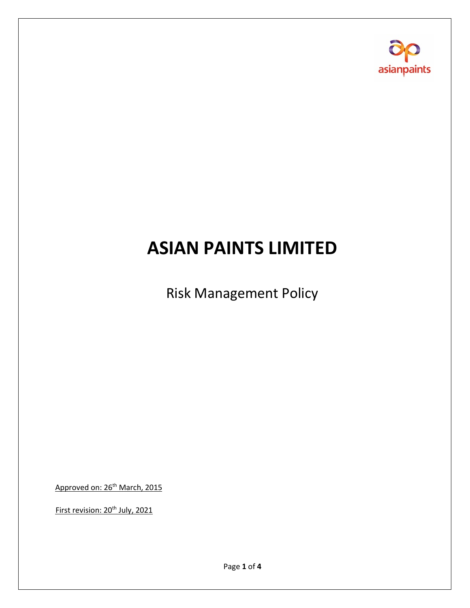

# **ASIAN PAINTS LIMITED**

Risk Management Policy

Approved on: 26<sup>th</sup> March, 2015

First revision: 20<sup>th</sup> July, 2021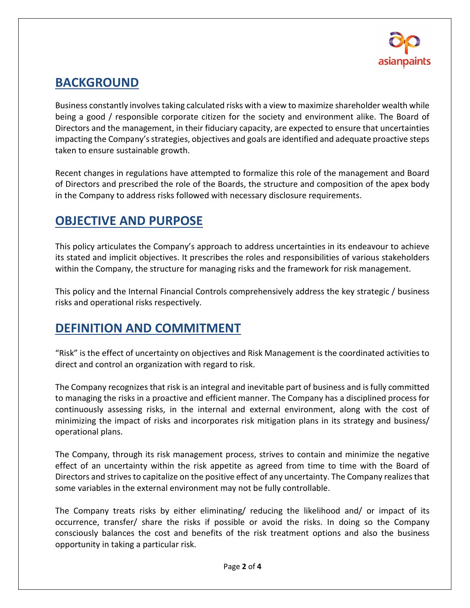

#### **BACKGROUND**

Business constantly involves taking calculated risks with a view to maximize shareholder wealth while being a good / responsible corporate citizen for the society and environment alike. The Board of Directors and the management, in their fiduciary capacity, are expected to ensure that uncertainties impacting the Company's strategies, objectives and goals are identified and adequate proactive steps taken to ensure sustainable growth.

Recent changes in regulations have attempted to formalize this role of the management and Board of Directors and prescribed the role of the Boards, the structure and composition of the apex body in the Company to address risks followed with necessary disclosure requirements.

### **OBJECTIVE AND PURPOSE**

This policy articulates the Company's approach to address uncertainties in its endeavour to achieve its stated and implicit objectives. It prescribes the roles and responsibilities of various stakeholders within the Company, the structure for managing risks and the framework for risk management.

This policy and the Internal Financial Controls comprehensively address the key strategic / business risks and operational risks respectively.

## **DEFINITION AND COMMITMENT**

"Risk" is the effect of uncertainty on objectives and Risk Management is the coordinated activities to direct and control an organization with regard to risk.

The Company recognizes that risk is an integral and inevitable part of business and is fully committed to managing the risks in a proactive and efficient manner. The Company has a disciplined process for continuously assessing risks, in the internal and external environment, along with the cost of minimizing the impact of risks and incorporates risk mitigation plans in its strategy and business/ operational plans.

The Company, through its risk management process, strives to contain and minimize the negative effect of an uncertainty within the risk appetite as agreed from time to time with the Board of Directors and strives to capitalize on the positive effect of any uncertainty. The Company realizes that some variables in the external environment may not be fully controllable.

The Company treats risks by either eliminating/ reducing the likelihood and/ or impact of its occurrence, transfer/ share the risks if possible or avoid the risks. In doing so the Company consciously balances the cost and benefits of the risk treatment options and also the business opportunity in taking a particular risk.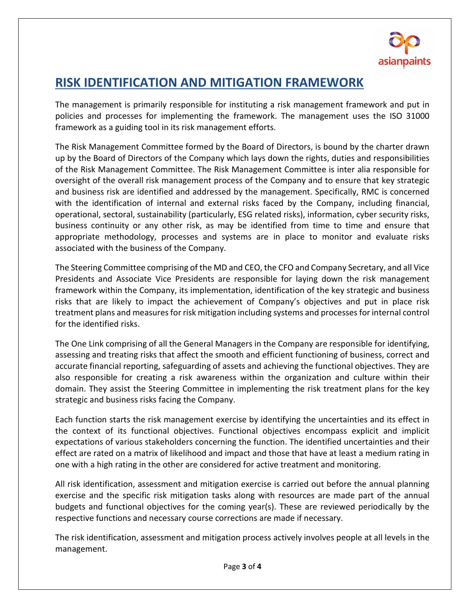

#### **RISK IDENTIFICATION AND MITIGATION FRAMEWORK**

The management is primarily responsible for instituting a risk management framework and put in policies and processes for implementing the framework. The management uses the ISO 31000 framework as a guiding tool in its risk management efforts.

The Risk Management Committee formed by the Board of Directors, is bound by the charter drawn up by the Board of Directors of the Company which lays down the rights, duties and responsibilities of the Risk Management Committee. The Risk Management Committee is inter alia responsible for oversight of the overall risk management process of the Company and to ensure that key strategic and business risk are identified and addressed by the management. Specifically, RMC is concerned with the identification of internal and external risks faced by the Company, including financial, operational, sectoral, sustainability (particularly, ESG related risks), information, cyber security risks, business continuity or any other risk, as may be identified from time to time and ensure that appropriate methodology, processes and systems are in place to monitor and evaluate risks associated with the business of the Company.

The Steering Committee comprising of the MD and CEO, the CFO and Company Secretary, and all Vice Presidents and Associate Vice Presidents are responsible for laying down the risk management framework within the Company, its implementation, identification of the key strategic and business risks that are likely to impact the achievement of Company's objectives and put in place risk treatment plans and measures for risk mitigation including systems and processes for internal control for the identified risks.

The One Link comprising of all the General Managers in the Company are responsible for identifying, assessing and treating risks that affect the smooth and efficient functioning of business, correct and accurate financial reporting, safeguarding of assets and achieving the functional objectives. They are also responsible for creating a risk awareness within the organization and culture within their domain. They assist the Steering Committee in implementing the risk treatment plans for the key strategic and business risks facing the Company.

Each function starts the risk management exercise by identifying the uncertainties and its effect in the context of its functional objectives. Functional objectives encompass explicit and implicit expectations of various stakeholders concerning the function. The identified uncertainties and their effect are rated on a matrix of likelihood and impact and those that have at least a medium rating in one with a high rating in the other are considered for active treatment and monitoring.

All risk identification, assessment and mitigation exercise is carried out before the annual planning exercise and the specific risk mitigation tasks along with resources are made part of the annual budgets and functional objectives for the coming year(s). These are reviewed periodically by the respective functions and necessary course corrections are made if necessary.

The risk identification, assessment and mitigation process actively involves people at all levels in the management.